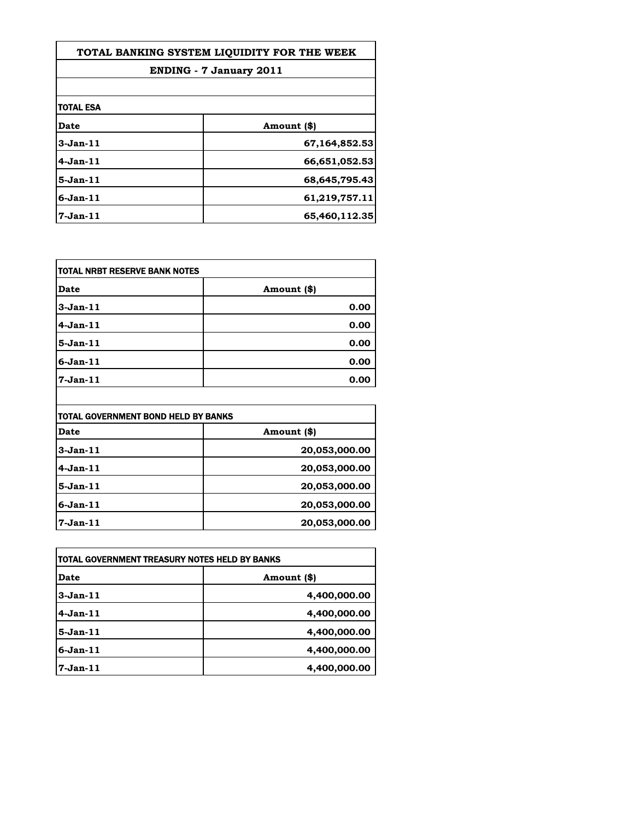| TOTAL BANKING SYSTEM LIOUIDITY FOR THE WEEK |               |
|---------------------------------------------|---------------|
| <b>ENDING - 7 January 2011</b>              |               |
|                                             |               |
| <b>TOTAL ESA</b>                            |               |
| <b>Date</b>                                 | Amount (\$)   |
| $3-Jan-11$                                  | 67,164,852.53 |
| $4-Jan-11$                                  | 66,651,052.53 |
| $5-Jan-11$                                  | 68,645,795.43 |
| $6$ -Jan- $11$                              | 61,219,757.11 |
| 7-Jan-11                                    | 65,460,112.35 |

| <b>Date</b>    | Amount (\$) |
|----------------|-------------|
| $3-Jan-11$     | 0.00        |
| $4-Jan-11$     | 0.00        |
| $5-Jan-11$     | 0.00        |
| $6$ -Jan- $11$ | 0.00        |
| 7-Jan-11       | 0.00        |

| TOTAL GOVERNMENT BOND HELD BY BANKS |               |
|-------------------------------------|---------------|
| <b>Date</b>                         | Amount (\$)   |
| $3-Jan-11$                          | 20,053,000.00 |
| 4-Jan-11                            | 20,053,000.00 |
| 5-Jan-11                            | 20,053,000.00 |
| 6-Jan-11                            | 20,053,000.00 |
| $7-Jan-11$                          | 20,053,000.00 |

| itotal Government treasury notes held by Banks |              |
|------------------------------------------------|--------------|
| Date                                           | Amount (\$)  |
| $3-Jan-11$                                     | 4,400,000.00 |
| $4-Jan-11$                                     | 4,400,000.00 |
| $5-Jan-11$                                     | 4,400,000.00 |
| $6-Jan-11$                                     | 4,400,000.00 |
| $7$ -Jan- $11$                                 | 4,400,000.00 |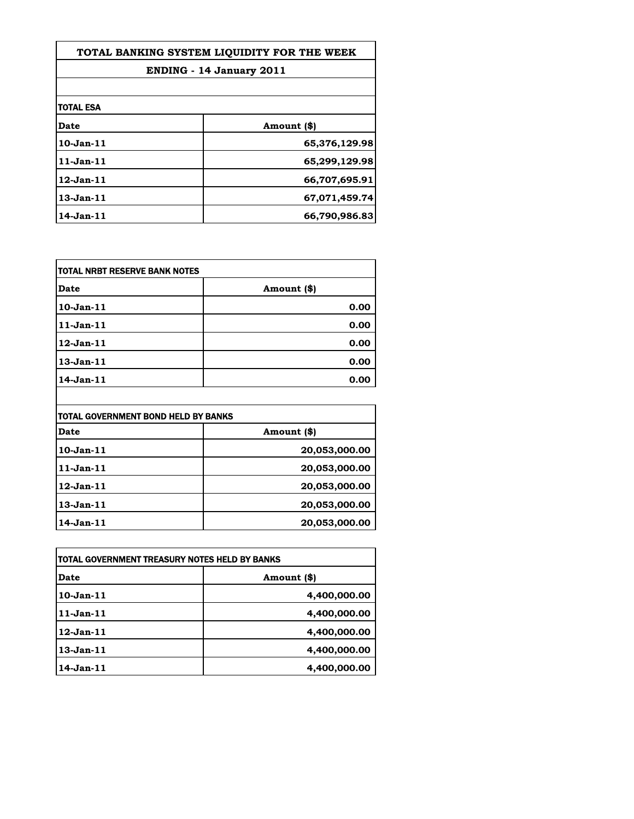| TOTAL BANKING SYSTEM LIOUIDITY FOR THE WEEK |               |
|---------------------------------------------|---------------|
| <b>ENDING - 14 January 2011</b>             |               |
|                                             |               |
| <b>TOTAL ESA</b>                            |               |
| <b>Date</b>                                 | Amount (\$)   |
| $10$ -Jan- $11$                             | 65,376,129.98 |
| $11$ -Jan- $11$                             | 65,299,129.98 |
| $12$ -Jan- $11$                             | 66,707,695.91 |
| $13$ -Jan- $11$                             | 67,071,459.74 |
| $14$ -Jan- $11$                             | 66,790,986.83 |

| <b>TOTAL NRBT RESERVE BANK NOTES</b> |             |
|--------------------------------------|-------------|
| <b>Date</b>                          | Amount (\$) |
| 10-Jan-11                            | 0.00        |
| 11-Jan-11                            | 0.00        |
| 12-Jan-11                            | 0.00        |
| 13-Jan-11                            | 0.00        |
| 14-Jan-11                            | 0.00        |

| TOTAL GOVERNMENT BOND HELD BY BANKS |               |
|-------------------------------------|---------------|
| <b>Date</b>                         | Amount (\$)   |
| 10-Jan-11                           | 20,053,000.00 |
| $11-Jan-11$                         | 20,053,000.00 |
| 12-Jan-11                           | 20,053,000.00 |
| 13-Jan-11                           | 20,053,000.00 |
| 14-Jan-11                           | 20,053,000.00 |

 $\overline{\phantom{a}}$ 

| itotal Government treasury notes held by Banks |              |
|------------------------------------------------|--------------|
| Date                                           | Amount (\$)  |
| $10$ -Jan- $11$                                | 4,400,000.00 |
| $11$ -Jan- $11$                                | 4,400,000.00 |
| $12$ -Jan- $11$                                | 4,400,000.00 |
| $13$ -Jan- $11$                                | 4,400,000.00 |
| $14$ -Jan- $11$                                | 4,400,000.00 |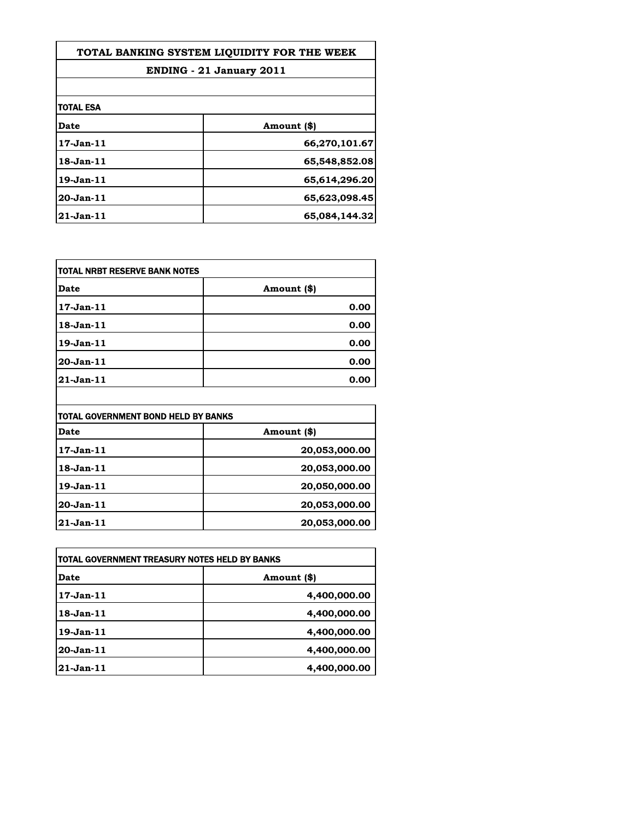| TOTAL BANKING SYSTEM LIOUIDITY FOR THE WEEK |               |
|---------------------------------------------|---------------|
| <b>ENDING - 21 January 2011</b>             |               |
|                                             |               |
| <b>TOTAL ESA</b>                            |               |
| <b>Date</b>                                 | Amount (\$)   |
| $17$ -Jan- $11$                             | 66,270,101.67 |
| $18$ -Jan- $11$                             | 65,548,852.08 |
| $19$ -Jan $-11$                             | 65,614,296.20 |
| 20-Jan-11                                   | 65,623,098.45 |
| $21$ -Jan- $11$                             | 65,084,144.32 |

| <b>TOTAL NRBT RESERVE BANK NOTES</b> |             |
|--------------------------------------|-------------|
| <b>Date</b>                          | Amount (\$) |
| 17-Jan-11                            | 0.00        |
| 18-Jan-11                            | 0.00        |
| 19-Jan-11                            | 0.00        |
| 20-Jan-11                            | 0.00        |
| $21 - Jan - 11$                      | 0.00        |

| TOTAL GOVERNMENT BOND HELD BY BANKS |               |
|-------------------------------------|---------------|
| <b>Date</b>                         | Amount (\$)   |
| 17-Jan-11                           | 20,053,000.00 |
| 18-Jan-11                           | 20,053,000.00 |
| 19-Jan-11                           | 20,050,000.00 |
| 20-Jan-11                           | 20,053,000.00 |
| $21-Jan-11$                         | 20,053,000.00 |

| itotal Government treasury notes held by Banks |              |
|------------------------------------------------|--------------|
| Date                                           | Amount (\$)  |
| $17$ -Jan- $11$                                | 4,400,000.00 |
| $18$ -Jan- $11$                                | 4,400,000.00 |
| $19-Jan-11$                                    | 4,400,000.00 |
| 20-Jan-11                                      | 4,400,000.00 |
| 21-Jan-11                                      | 4,400,000.00 |